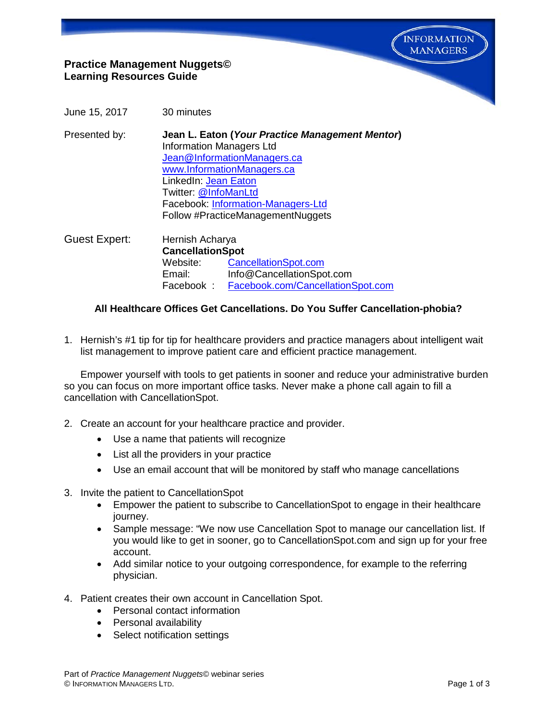

# **Practice Management Nuggets© Learning Resources Guide**

June 15, 2017 30 minutes

Presented by: **Jean L. Eaton (***Your Practice Management Mentor***)** Information Managers Ltd [Jean@InformationManagers.ca](mailto:Jean@InformationManagers.ca) [www.InformationManagers.ca](http://www.informationmanagers.ca/) LinkedIn: [Jean Eaton](http://www.linkedin.com/in/jeaneaton) Twitter: [@InfoManLtd](https://twitter.com/InfoManLtd)  Facebook: [Information-Managers-Ltd](https://www.facebook.com/pages/Information-Managers-Ltd/291303607725640) Follow #PracticeManagementNuggets

Guest Expert: Hernish Acharya **CancellationSpot** Website: CancellationSpot.com Email: Info@CancellationSpot.com<br>Facebook: Facebook.com/Cancellation Facebook : [Facebook.com/CancellationSpot.com](https://www.facebook.com/cancellationspot/)

### **All Healthcare Offices Get Cancellations. Do You Suffer Cancellation-phobia?**

1. Hernish's #1 tip for tip for healthcare providers and practice managers about intelligent wait list management to improve patient care and efficient practice management.

Empower yourself with tools to get patients in sooner and reduce your administrative burden so you can focus on more important office tasks. Never make a phone call again to fill a cancellation with CancellationSpot.

- 2. Create an account for your healthcare practice and provider.
	- Use a name that patients will recognize
	- List all the providers in your practice
	- Use an email account that will be monitored by staff who manage cancellations
- 3. Invite the patient to CancellationSpot
	- Empower the patient to subscribe to CancellationSpot to engage in their healthcare journey.
	- Sample message: "We now use Cancellation Spot to manage our cancellation list. If you would like to get in sooner, go to CancellationSpot.com and sign up for your free account.
	- Add similar notice to your outgoing correspondence, for example to the referring physician.
- 4. Patient creates their own account in Cancellation Spot.
	- Personal contact information
	- Personal availability
	- Select notification settings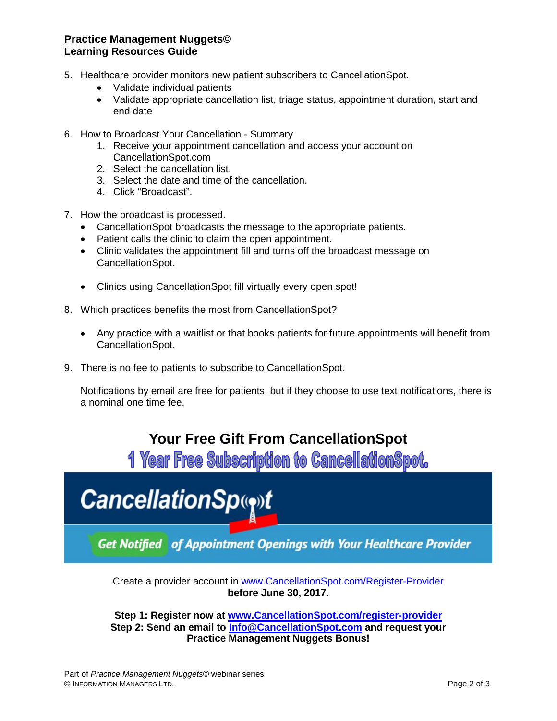### **Practice Management Nuggets© Learning Resources Guide**

- 5. Healthcare provider monitors new patient subscribers to CancellationSpot.
	- Validate individual patients
	- Validate appropriate cancellation list, triage status, appointment duration, start and end date
- 6. How to Broadcast Your Cancellation Summary
	- 1. Receive your appointment cancellation and access your account on CancellationSpot.com
	- 2. Select the cancellation list.
	- 3. Select the date and time of the cancellation.
	- 4. Click "Broadcast".
- 7. How the broadcast is processed.
	- CancellationSpot broadcasts the message to the appropriate patients.
	- Patient calls the clinic to claim the open appointment.
	- Clinic validates the appointment fill and turns off the broadcast message on CancellationSpot.
	- Clinics using CancellationSpot fill virtually every open spot!
- 8. Which practices benefits the most from CancellationSpot?
	- Any practice with a waitlist or that books patients for future appointments will benefit from CancellationSpot.
- 9. There is no fee to patients to subscribe to CancellationSpot.

Notifications by email are free for patients, but if they choose to use text notifications, there is a nominal one time fee.

# **Your Free Gift From CancellationSpot**

**1 Year Free Subscription to CancellationSpot.** 



**Get Notified of Appointment Openings with Your Healthcare Provider** 

Create a provider account in [www.CancellationSpot.com/Register-Provider](http://www.cancellationspot.com/Register-Provider) **before June 30, 2017**.

**Step 1: Register now at www.CancellationSpot.com/register-provider Step 2: Send an email to [Info@CancellationSpot.com](mailto:Info@CancellationSpot.com) and request your Practice Management Nuggets Bonus!**